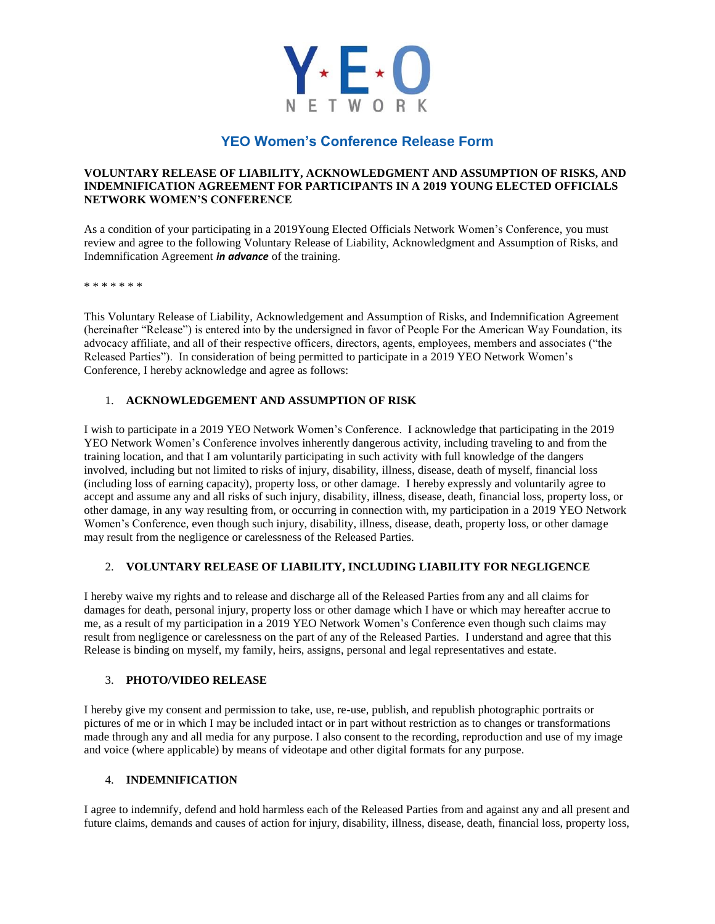

# **YEO Women's Conference Release Form**

## **VOLUNTARY RELEASE OF LIABILITY, ACKNOWLEDGMENT AND ASSUMPTION OF RISKS, AND INDEMNIFICATION AGREEMENT FOR PARTICIPANTS IN A 2019 YOUNG ELECTED OFFICIALS NETWORK WOMEN'S CONFERENCE**

As a condition of your participating in a 2019Young Elected Officials Network Women's Conference, you must review and agree to the following Voluntary Release of Liability, Acknowledgment and Assumption of Risks, and Indemnification Agreement *in advance* of the training.

\* \* \* \* \* \* \*

This Voluntary Release of Liability, Acknowledgement and Assumption of Risks, and Indemnification Agreement (hereinafter "Release") is entered into by the undersigned in favor of People For the American Way Foundation, its advocacy affiliate, and all of their respective officers, directors, agents, employees, members and associates ("the Released Parties"). In consideration of being permitted to participate in a 2019 YEO Network Women's Conference, I hereby acknowledge and agree as follows:

## 1. **ACKNOWLEDGEMENT AND ASSUMPTION OF RISK**

I wish to participate in a 2019 YEO Network Women's Conference. I acknowledge that participating in the 2019 YEO Network Women's Conference involves inherently dangerous activity, including traveling to and from the training location, and that I am voluntarily participating in such activity with full knowledge of the dangers involved, including but not limited to risks of injury, disability, illness, disease, death of myself, financial loss (including loss of earning capacity), property loss, or other damage. I hereby expressly and voluntarily agree to accept and assume any and all risks of such injury, disability, illness, disease, death, financial loss, property loss, or other damage, in any way resulting from, or occurring in connection with, my participation in a 2019 YEO Network Women's Conference, even though such injury, disability, illness, disease, death, property loss, or other damage may result from the negligence or carelessness of the Released Parties.

## 2. **VOLUNTARY RELEASE OF LIABILITY, INCLUDING LIABILITY FOR NEGLIGENCE**

I hereby waive my rights and to release and discharge all of the Released Parties from any and all claims for damages for death, personal injury, property loss or other damage which I have or which may hereafter accrue to me, as a result of my participation in a 2019 YEO Network Women's Conference even though such claims may result from negligence or carelessness on the part of any of the Released Parties. I understand and agree that this Release is binding on myself, my family, heirs, assigns, personal and legal representatives and estate.

## 3. **PHOTO/VIDEO RELEASE**

I hereby give my consent and permission to take, use, re-use, publish, and republish photographic portraits or pictures of me or in which I may be included intact or in part without restriction as to changes or transformations made through any and all media for any purpose. I also consent to the recording, reproduction and use of my image and voice (where applicable) by means of videotape and other digital formats for any purpose.

## 4. **INDEMNIFICATION**

I agree to indemnify, defend and hold harmless each of the Released Parties from and against any and all present and future claims, demands and causes of action for injury, disability, illness, disease, death, financial loss, property loss,